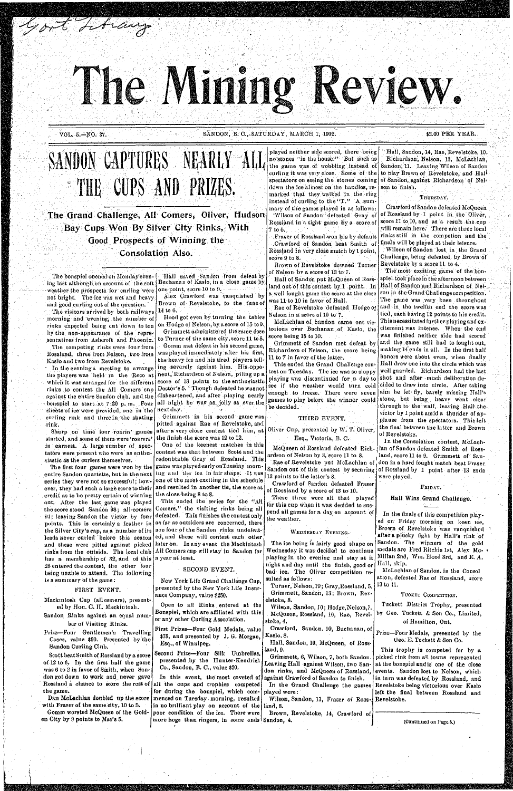# The Mining Review.

VOL. 5.—NO. 37. SANDON, B. C, SATURDAY, MARCH 1, 1902. \$2.00 PER YEAR.

SANDON CAPTURES NEARLY ALL THE CUPS AND PRIZES.

The Grand Challenge, AH Comers, Oliver, Hudson Bay Cups Won By Silver City Rinks, With Good Prospects of Winning the Consolation Also.

The bonspiel opened on Monday evening last although on account of the soft weather the prospects for curling were not bright. The ice was wet and heavy and good curling out of the question. The visitors arrived by both railways morning and 'evening, the number of rinks expected being cut down to ten by the non-appearance of the representatives from Ashcroft and Phoenix. The competing rinks were four from Ro8sland, three from Nelson, two from Kaslo and two from Revelstoke.

Gort Library

The first four games were won by the entire Sandon quartette, but in the next series they were not so successful; however, they had such a large score to their credit as to be pretty certain of winning the close being  $8$  to  $8$ .

In the evening a meeting to arrange the players was held in the Reco at which it was arranged for the different rinks to contest the All Comers cup against the entire Sandon club, and the bonspiel to start.,at 7:30 p.m. Four sheets of ice were provided, one in the next day. curling rink and three in the skating rink.

Sharp on time four roarin' games started, and some of them were 'roarers' in earnest. A- large number of spectators were present who were as enthusiastic as the curlers themselves.

One of the keenest matches in this contest was that between Scott and the redoubtable Gray of Rossland. This game was played early on Tuesday morning and the ice in fair shape. It was one of the most exciting in the schedule and resulted in another tie, the score at

played neither side scored, there being no stones "in the house." But such as the game was of wobbling instead of curling it was very close. Some of the spectators on seeing the stones coming down the ice almost on the handles, remarked that they walked in the ring instead of curling to the  $T$ ." A summary of the games played is as follows: "Wilson of Sandon defeated Gray of Rossland in a tight game by a score of  $7$  to  $6.7$ 

Hall saved Sandon from defeat by Buchanan of Kaslo, in a close game by one point, score 10 to 9.

Alex Crawford was vanquished by Brown of Revelstoke, to the tune of 14 to G.

> McQueen of Rossland defeated Richardson of Nelson by 3, score 11 to 8.

Sandon out of this contest by securing of Rossland by 1 point after 13 ends 13 points to the latter's 8.

Hood got even by turning the tables on Hodge of Nelson, by a score of 15 to 9. Grimmett administered the same dose to Turner of the same city,score 11 to 8. Gomm met defeat in his second game, was played immediately after his first, the heavy ice and his tired players telling severely against him. His opponent, Richardson of Nelson, piling up a score of 18 points to the enthusiastic Doctor's 5. ' Though defeated he was not disheartened, and after playing nearly all night he was as, jolly as ever,the

Grimmett in his second game was pitted against. Rae of Revelstoke, and after a very close contest tied him, at the finish the score was 12 to 12.

Grimmett of Sandon met defeat by  $|$  and the game still had to fought out, The most exciting game of the bonspiel took place in the afternoon between Hall of Sandon and Richardson of Nelson in the Grand Challenge com petition. The game was very keen throughout and in the twelfth end the score was tied, each having *12* points to his credit. This necessitated further playingand excitement was intense. When the end was finished neither side had scored making 14'ends in all. In the first half honors were about even, when finally Hall drew one into the circle which was well guarded. Richardson had the last, through to the wall, leaving Hall the victor by 1 point amid a thunder of applause from the spectators. This left the final between the latter and Brown of Reyelstoke.

Fraser of Rossland won his by default Crawford of Sandon beat Smith of Rossland in very close match by 1 point, score 9 to 8.

Brown of Revelstoke downed Turner of Nelson bv a score of 13 to 7.

Hall of Sandon put McQueen of Rossland out of this contest by 1 point. In a well fought game the score at the close was 11 to 10 in favor of Hall.

Rae of Revelstoke defeated Hodge of Nelson in a score of 10 to 7.

McLachlan of Sandon came out victorious over Buchanan of Kaslo, the score being 15 to 10.

| out. After the last game was played                     | This ended the series for the "All                                                                                                                    | These enter were all eller played                                        | nan wins uranu chanenge.                                                |
|---------------------------------------------------------|-------------------------------------------------------------------------------------------------------------------------------------------------------|--------------------------------------------------------------------------|-------------------------------------------------------------------------|
| the score stood Sandon 98; all-comers                   | Comers," the visiting rinks being all                                                                                                                 | for this cup when it was decided to sus-                                 |                                                                         |
| 94; leaying Sandon the victor by four                   | defeated. This finishes the contest only                                                                                                              | pend all games for a day on account of                                   | In the finals of this competition play-                                 |
|                                                         | points. This is certainly a feather in as far as outsiders are concerned, there                                                                       | the weather.                                                             | ed on Friday morning on keen ice,                                       |
| the Silver City's cap, as a number of its!              | are four of the Sandon rinks undefeat-                                                                                                                |                                                                          | Brown of Revelstoke was vanquished                                      |
|                                                         | leads never curled before this season ed, and these will contest each other                                                                           | WEDNESDAY EVENING.                                                       | after a plucky fight by Hall's rink of                                  |
|                                                         | later on. In any event the Mackintosh                                                                                                                 |                                                                          | The ice being in fairly good shape on Sandon. The winners of the gold   |
| and these were pitted against picked                    | All Comers cup will stay in Sandon for                                                                                                                | Wednesday it was decided to continue                                     | medals are Fred Ritchie 1st, Alex Mc- .                                 |
| rinks from the outside. The local club                  |                                                                                                                                                       | playing in the evening and stay at it                                    | Millan 2nd, Wm. Hood 3rd, and E. A.                                     |
| has a membership of $32$ , and of this a year at least. |                                                                                                                                                       | night and day until the finish, good or                                  | Hall, skip.                                                             |
| 28 entered the contest, the other four                  | SECOND EVENT.                                                                                                                                         | bad ice. The Oliver competition re-                                      | McLachlan of Sandon, in the Consol                                      |
| being unable to attend. The following                   |                                                                                                                                                       | sulted as follows:                                                       | ation, defeated Rae of Rossland, score                                  |
| is a summary of the game:                               | New York Life Grand Challenge Cup,                                                                                                                    | Turner, Nelson, 19; Gray, Rossland, 5.                                   | 13 to 11.                                                               |
| FIRST EVENT.                                            | presented by the New York Life Insur-                                                                                                                 | Grimmett, Sandon, 13; Brown, Rev-                                        |                                                                         |
| Mackintosh Cup (all comers), present-                   | ance Company, value \$250.                                                                                                                            | cletoke, 8.                                                              | TUCKET COMPETITION.                                                     |
| ed by Hon. C. II. Mackintosh.                           | Open to all Rinks entered at the                                                                                                                      | Wilson, Sandon, 10; Hodge, Nelson, 7.                                    | Tuckett District Trophy, presented                                      |
|                                                         | Bonspiel, which are affiliated with this                                                                                                              | McQueen, Rossland, 10, Rae, Revel-                                       | by Geo. Tuckett & Son Co., Limited,                                     |
| Sandon Rinks against an equal num-                      | or any other Curling Association.                                                                                                                     | stoke, 4.                                                                |                                                                         |
| ber of Visiting Rinks.                                  |                                                                                                                                                       |                                                                          | of Hamilton, Ont.                                                       |
| Prize-Four Gentlemen's Travelling                       | First Prizes-Four Gold Medals, value                                                                                                                  | Crawford, Sandon. 10, Buchanan, of<br>Kaslo, 8.                          | Prize-Four Medals, presented by the                                     |
| Cases, value \$50. Presented by the                     | \$75, and presented by J. G. Morgan,                                                                                                                  |                                                                          | Geo. E. Tuckett & Son Co.                                               |
| Sandon Curling Club.                                    | Esq., of Winnipeg.                                                                                                                                    | Hall, Sandon, 10, McQueen, of Ross-                                      |                                                                         |
| Scott beat Smith of Rossland by a score                 | Second Prize-Four Silk Umbrellas,                                                                                                                     | land, 9.                                                                 | This trophy is competed for by a                                        |
| of 12 to 6. In the first half the game                  | presented by the Hunter-Kendrick                                                                                                                      | Grimmett, 6, Wilson, 7, both Sandon.                                     | picked rink from all towns represented                                  |
| was 6 to 2 in favor of Smith, when San-                 | Co., Sandon, B. C., value \$20.                                                                                                                       | Leaving Hall against Wilson, two San-                                    | at the bonspiel and is one of the close                                 |
| don got down to work and never gave                     |                                                                                                                                                       | don rinks, and McQueen of Rossland, events. Sandon lost to Nelson, which |                                                                         |
|                                                         | In this event, the most coveted of against Crawford of Sandon to finish.<br>Rossland a chance to score the rest of all the cups and trophies competed |                                                                          | in turn was defeated by Rossland, and                                   |
|                                                         |                                                                                                                                                       |                                                                          | In the Grand Challenge the games Revelstoke being victorious over Kaslo |
| the game.                                               | for during the bonspiel, which com- played were:                                                                                                      |                                                                          | left the final between Rossland and                                     |
|                                                         | Dan McLachlan doubled up the score   menced on Tuesday morning, resulted                                                                              | Wilson, Sandon, 11, Fraser of Ross- Revelstoke.                          |                                                                         |
| with Fraser of the same city, 10 to 5.                  | in no brilliant play on account of the land, 8.                                                                                                       |                                                                          |                                                                         |
| Gomm worsted McQueen of the Gold-                       | poor condition of the ice. There were Brown, Revelstoke, 14, Crawford of                                                                              |                                                                          |                                                                         |
| en City by 9 points to Mac's 5.                         | more hogs than ringers, in some ends Sandon, 4.                                                                                                       |                                                                          | (Continued on Page 5.)                                                  |
|                                                         |                                                                                                                                                       |                                                                          |                                                                         |

 $\frac{1}{2}$   $\frac{1}{2}$   $\frac{1}{2}$   $\frac{1}{2}$   $\frac{1}{2}$   $\frac{1}{2}$   $\frac{1}{2}$   $\frac{1}{2}$   $\frac{1}{2}$   $\frac{1}{2}$   $\frac{1}{2}$   $\frac{1}{2}$   $\frac{1}{2}$   $\frac{1}{2}$   $\frac{1}{2}$   $\frac{1}{2}$   $\frac{1}{2}$   $\frac{1}{2}$   $\frac{1}{2}$   $\frac{1}{2}$   $\frac{1}{2}$   $\frac{1}{2}$   $\$ 

Richardson of Nelson, the score being 11 to 7 in favor of the latter.

This ended the Grand Challenge contest on Tuesday. The ice was so sloppy playing was discontinued for a day to shot and after much deliberation desee if the weather would turn cold cided to draw into circle. After taking enough to freeze. There were seven aim he let fly, barely missing Hall's games to play before the winner could stone, but being heavy went clear be decided.

#### THIRD EVENT.

Oliver Cup, presented by W. T. Oliver, Esq., Victoria, B. C.

Hall, Sandon, 14, Rae, Revelstoke, 10. Richardson', Nelson. 13, McLachlan, Sandon, 11. Leaving Wilson of Sandon to play Brown of Revelstoke, and Hall of Sandon, against Richardson of Nelson to finish.

#### THURSDAY.

Crawford of Sandon defeated McQueen of Rossland by 1 point in the Oliver, score 11 to 10, and as a result the cup will remain here. There are three local rinks still in the competion and the finals will be played at their leisure; Wilson of Sandon lost in the Grand Challenge, heing defeated by Brown of Revelstoke by a score 11 to 4.

In the Consolation contest, McLachlan of Sandon defeated Smith of Rossland, score 11 to 9. Grimmett of San-Rae of Revelstoke put McLachlan of don in a hard fought match beat Fraser were played,

Crawford of Sandon defeated Fraser of Rossland by a score of 13 to 10.

These three were all that

#### FRIDAY.

Hall Wins Grand Challenge.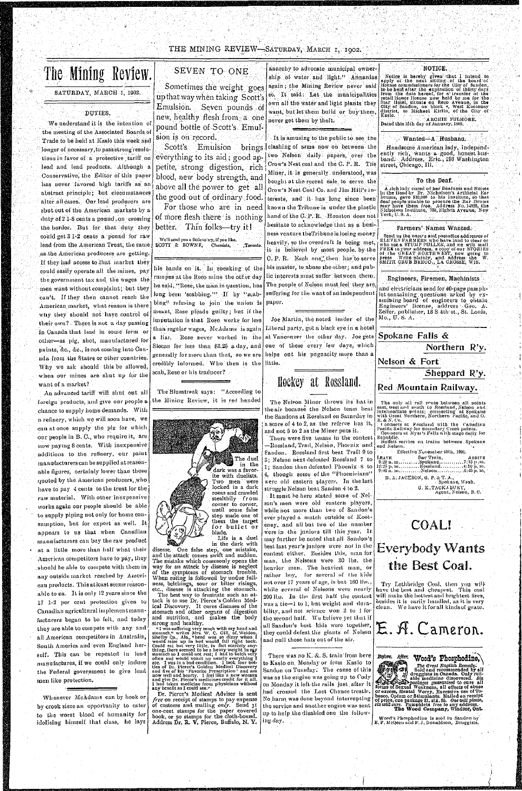THE MINING REVIEW-SATURDAY, MARCH I, 1902.

# The Mining Review.

SATURDAY, MARCH J, 1902.

#### DUTIES.

Sometimes the weight goes up that way when taking Scott's Emulsion. Seven pounds of new, healthy flesh from a one pound bottle of Scott's Emulsion is on record.

Scott's Emulsion brings everything to its aid ; good appetite, strong digestion, rich blood, new body strength, and above all the power to get all the good out of ordinary food.

For those who are in need of more flesh there is nothingbetter. Thin folks—try it! We'll send you a little to try, if you like. SCOTT & BOWNE, Chemists, .Toronto.

## SEVEN TO ONE

Notice is hereby given that I intend to apply at the next sitting- of the board of license commissioners for the City of Sandon, to be held after the expiration of thirty days from the date hereof, for a transfer of the retail liquor license now held by me for the Star Hotel, situate on Reco Avenue, in the City of Sandon, on block 4, West Kootenay district, to Michael Kirlin, of the City of Kaslo. ARCHIE FULMORE.<br>Dated this 15th day of January, 1902.

anarchy to advocate municipal ownership of water and light." Annanias again; the Mining Review never said so. It said: Let the municipalities own all the water and light plants they want, but let them build or buy them, never get them by theft.

> A jichlady cured of her Deafness and Noises in the Head by Dr. Nicholson's Artificial Ear<br>Drums, gave \$10,000 to his Institute, so that deaf people unable to procure the Ear Drums<br>may have them free. Address No. 14525, the<br>Nicholson Institute, 780, Eighth Avenue, New<br>York, U. S. A.

We understand it is the intention of the meeting of the Associated Boards of Trade to be held at Kaslo this week and longer of necessary, to pass strong resolutions in favor of a protective .tariff on lead and lead products. Although a Conservative, the Editor of this paper has never favored high tariffs as an abstract principle; but ciecumstances alter all cases. Our lead producers are shut out of the American markets by a duty of 2 1-8 cents a pound . on crossing the border. But for that duty they could get 3 1-2 cents a pound for raw lead from the American Trust, the same as.the American producers are getting. If they had access to that market they could easily operate all tlie mines, pay the government tax and the wages the men want without complaint; but they can't. If they then cannot reach the American market, what reason is there why they should not have control of their own? . There is not a day passing in Canada that lead in some form or than regular wages, McAdams is again in Canada that lead m some form or other—as pig, shot, manufactured for paints, &c., &c., is not coming into Canada from the States or other countries. Why we ask should this be allowed when our mines are shut up for the want of a market?

It is amusing to the public to see the clashing of arms now on between the two Nelson daily papers, over the Crow's Nest coal and the C. P. R. The Miner, it is generally understood, was bought, at the recent sale, to serve the Crow's Nest Coal Co. and Jim Hill's interests, and it has long since been known the Tribune is under the plastic hand of the C. P. R. Houston does not hesitate to acknowledge that as a business venture theTribune is losing money heavily, so the overdraft is being met, it is believed by most people, by the C.P.R. Each one, then has to serve his master, to abuse the other; and public interests must suffer between them The people of Nelson must feel they are suffering for the want of an independent

#### **NOTICE.**

Joe Martin, tho noted leader of the Liberal party, got a black eye in a hotel at Vancouver the other day. Joe gets one of these every few days, which helps out his pugnacity more than a little.

#### Wanted—A Husband.

Handsome American lady, independently rich, wants a good, honest husband. Address, Eric., 193 Washington street, Chicago, 111.

#### To the Deaf.

#### Farmers' Names Wanted.

Send us the names and postoffice addresses of<br>ELEVEN FARMERS who have land to elear or<br>who use a STUMP PULLER, and we will mail.<br>FREE to your address, a copy of our STORIES.<br>of the GREAT NORTHWEST, now going to<br>press. Writ

his hands on it. In sneaking of the rumpus at the Reco mine the other day he said, "Rose, the man in question, has long been 'scabbing." If by "scabbing" refusing to join the union is paper. meant, Rose pleads guilty; but if the imputation is that Rose works for less & • *° ' °*  a liar. Rose never worked in the Slocan for less than \$3.25 a day, and generally for more than that, so we are credibly informed. Who then is the scab, Rose or his traducer?

The Bluestreak says: "According to the Mining Review, it is red handed

An advanced tariff will shut out all foreign products, and give our people a chance to supply home demands. With a refinery, which we will soon have, we can at once supply the pig for which our people in B..C., who require it, are now paying 8 cents. With inexpensive additions to the refinery, our paint manufacturers can be supplied at reasonable figures, certainly lower than those quoted by the American producers, who have to pay 4 cents to the trust for the raw.material. With other inexpensive works again our people should be able to supply piping not only for home consumption, but for export as well. It appears to us that when Canadian manufacturers can buy the raw product at a little more than half what their American competitors have to pay, they should be able to compete with them in any outside market reached by American products. This at least seems reasonable to us. It is only  $12$  years since the 17 1-2 per cent protection given to Canadian agricultural implementmanufuctnrers began to be felt, and today they are able to compete with any and all American competitors in Australia, South America and leven England herself. This can be repeated in lead manufactures, if we could only induce the Federal government to give lead men like protection.

## Hoetey at Rossland.

Whenever McAdams can by hook or by crook sieze an opportunity to cater to the worst blood of humanity for idolising himself (hat class, he lays



Life is a duel in the dark with

disease. One false step, one' mistake, and the attack comes swift and sudden. The mistake which commonly opens the way for an attack by disease is neglect of the symptoms of stomach trouble. When eating is followed by undue fullness, belchings, sour or bitter risings, etc., disease is attacking the stomach.

The best way to frustrate such an attack is to use Dr. Pierce's Golden Medical Discovery. It cures diseases of the stomach and other organs of digestion and nutrition, and makes the body strong and healthy.

.<sup>1</sup> was saffering very much with my head and<br>stomach," writes Mrs. W. C. Gill, of Weldon-<br>Shelby Co., Ala., "head was so dizzy when I<br>would raise up in hed would fall right back.<br>Could eat but very little, in fact scarce

Dr. Pierce's Medical Adviser is sent *free* on receipt of stamps to pay expense of customs and mailing *only.* Send 31 one-cent stamps for the paper covered book, or 50 stamps for the cloth-bound. Address Dr. R. V. Pierce, Buffalo, N. Y.

The Nelson Miner throws its hat in the air because the Nelson team beat the Sandons at Rossland on Saturday in a score of 4 to 2, as the referoe has it, and not 5 to 2 as the Miner.puts it.

There were five teams in the contest —Rossland, Trail, Nelson, Phoenix and (Sandon. Rossland first beat Trail 9 to 3; Nelson next defeated Rossland 7 to 1; Sandon then defeated Phoenix 8 to 4, though some of the "Phoenicians" were old eastern players. In the last struggleNelson beat Sandon 4 to 2. -, It must he here stated some of Nelson's men were old eastern players, while not more than two of Sandon's ever played a niatch outside of Kootenay, and all but two of the number were in the juniors till this year. It may further be noted that all Sandon's best, last year's juniors were not in the contest either. Besides this, man for man, the Nelsons were 30 lbs. the heavier men. The heaviest man, or rather boy, for several of the kids not over 17 years of age, is but 100 lbs., while several of Nelsons were nearly 200 lbs. In the first half the contest was a tie—I to 1, but weight and durability, and not science won 3 to 1 for the second half. We believe yet that if all Sandon's best kids were together, they could defeat the giants of Nelson and pull those hats out of the air.

#### Engineers, Firemen, Machinists

and electricians send for 40-page, pamphlet containing, questions asked by examining board of engineers to obtain Engineers' license, address Geo. A-. Zeller, publisher, 18 S 4th st., St. Louis, Mo., U.'S. A.



Pacific Railway, for Boundary Creek points.<br>Councets at Myer's Fulls with stage daily for Republic. Butfett service on trains between Spokane and Nelson.

|        | Effective November 10th, 1901. |                     |  |
|--------|--------------------------------|---------------------|--|
| LEAVE. | Day Train, ARRIVE              |                     |  |
|        |                                |                     |  |
|        |                                |                     |  |
|        |                                |                     |  |
|        | H. A. JACESON, G. P. & T. A.,  |                     |  |
|        | Spokane, Wesh.                 |                     |  |
|        | G. K. TACKABURY,               |                     |  |
|        |                                | Agent, Nelson, B.C. |  |
|        |                                |                     |  |

Try Lethbridge Coal, then you willhave the best and cheapest. This coal will make the hottest and brightest fires, besides it is earily handled, as it is very clean. We have it Tor all kindsof grate.

There was no *K. &.* S. train from here to Kaslo oh Monday or from Kaslo to Sandon on Tuesday: The cause of this was as the engine was going up to Cody on Monday it left the rails just,after it had crossed the Last Chance trestle. Noharm. was done beyond interrupting the service and another engine was sent up to help the disabled one the following, dav.

# COAL! **Everybody Wants** the Best Coal.



**4: All Sexual Weakness, all effects of abuse**<br>forms of Sexual Weakness, all effects of abuse<br>or excess, Mental Worry, Excessive use of Tobacco, Opium or Stimulants. Mailed on receipt of price, one package \$1, six, \$5. One will please, six will cure. Pamphlets free to any address. The Wood Company, Windsor, Ont.

Wood's Phosphodiue is sold iu Sandon by E. F. MeQeen and *h\* J. Donaldson, Druggists.

*ismmsmimaK mmmsmmmmmiemmmmmmmmmmm*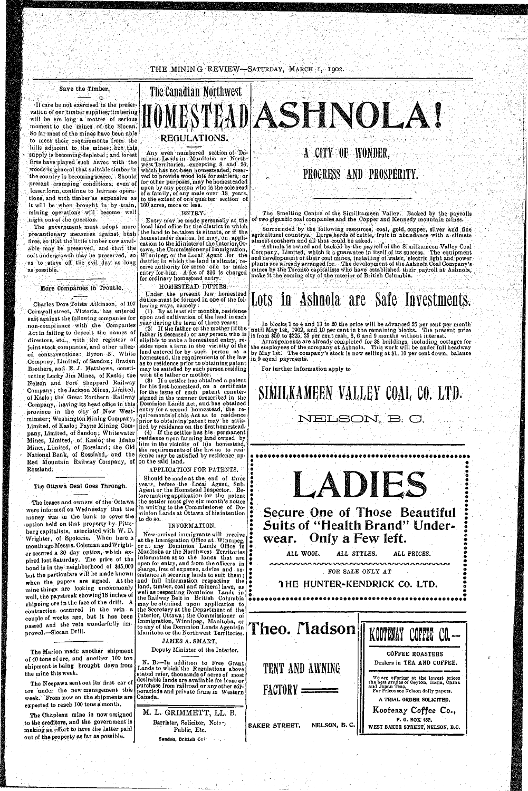#### THE MINING REVIEW-SATURDAY, MARCH I, 1902.

#### Save the Timber.

 $\sim$ 

If care be not exercised in the preservation of our timber supplies, timbering will be ere long a matter of serious moment to the mines of the Slocan. So far most of the mines have been able to meet their requirements from the hills adjacent to the mines; but this supply is becoming depleted ; and forest fires have played such havoc with the woods in general that suitable timber in the country is becoming scarce. Should present cramping conditions, even of lesser form, continue to harrass operations, and with timber as expensive • as it will be when brought in by train, mining operations will become well night out of the question.

The government must adopt more precautionary measures against bush fires, so that the little timber now available may be preserved, and that the soft undergrowth may be preserved, so as to stave off the evil day as long as possible.

# **The Canadian Northwest**  MESTEAD ASHINOLA! **REGULATIONS.**

#### More Companies in Trouble.

Charles Dore Toista Atkinson, of 197 Cornwall street, Victoria, has entered suit against the following companies for non-compliance with the Companies Act in failing to deposit the names of directors, etc., with the registrar of joint stock companies, and other alleged contraventions: Byron N. White Company, Limited, of Sandon; Braden Brothers, and E. J. Matthews, constituting Lucky Jim Mines, of Kaslo; the Nelson and Fort Sheppard Railway Company; the Jackson Mines, Limited, of Kaslo; the Great Northern Railway Company, having its head office in this province in the city of New Westminster; Washington Mining Company, Limited, of Kaslo; Payne Mining Company, Limited, of Sandon; Whitewater Mines, Limited, of Kaslo; the Idaho Mines, Limited, of Rossland; the Old National Bank, of Rossland, and the Red Mountain Railway Company, of Rossland.

The Ottawa Deal Goes Throngh.

were informed on Wednesday that the

money was in the bank to cover the option held on that property by Pittsburg capitalists, associated with W. D. Wrighter, of Spokane. When here a month ago Messrs. Coleman andWrighter secured a 30 day option, which expired last Saturday. The price of the bond is in the -neighborhood of \$45,000 but the particulars will be made known  $\frac{1}{x}$  then the papers are signed. At the and full information respecting the mine things are looking uncommonly well, the paystreak showing 18 inches of shipping ore in the face of the drift. A contraction occurred in the vein a couple of weeks ago, but it has been passed and the vein wonderfully **im**proved.—Slocan Drill.

 $(4)$  If the settler has his permanent residence upon farming land owned by him in the vicinity of his homestead, the requirements of the law as to residence m'p,y be satisfied by residence upon the said land.

The leases and owners of the Ottawa the settler must give six month's notice Should be made at the end of three years, before the Local Agent, Sub-Agent or the Homstead Inspector. Before making application for the patent 'in writing to the Commissioner of Dominion Lands at Ottawa of his intention

The Marion made another shipment of 40 tons of ore, and another 100 ton shipment is being brought down from tlie mine this week.

The Neepawa sent out its first car of ore under the new management this week. From now on the shipments are expected to reach 100 tons a month.

The Chapleau mine is now assigned to the creditors, and the government is making an effort to have the latter paid out of the property as far as possible.

A CITY OF WONDER, PROGRESS AND PROSPERITY.

M. L. GRIMMETT, LL. B. Barrister, Solicitor, Notary Public, Etc. **Sandon, British Co?** 

## One of Those Beautiful ecure  $\frac{1}{2}$  Suits of "Health Brand" Under-  $\frac{1}{2}$ wear. Only a Few left.

Any even numbered section of Dominion Lands in Manitoba or Northwest Territories, excepting 8 and 26, which has not-been homesteaded, reserved to provide wood lots for settlers, or for other purposes, may be homesteaded upon by any person who is the sole head of a family, of any male over 18 years, to the extent of one quarter section of 160 acres, more or less.

> Surrounded by the following resources, coal, gold, copper, silver and fine agricultural countrys. Large herds of cattle, fruit in abundance with a climate almost southern and all that could be asked.

#### ENTRY.

Entry may be made personally at the local land office for the district in which the land to be taken is situate, or if the homesteader desires, he may, on application to the Minister of the Interior, Ottawa, the Commissioneroflmmigration, Winnipeg, or the Local Agent for the district in which the land is situate, receive authority for some one to make entry for him-. A fee of \$10 is charged for ordinary homestead entry.

> Arrangements are already completed for 38 buildings,-including cottages for the employees of the company at Ashnola. This work will be under full headway by May 1st. The company's stock is now selling at \$1, 10 per cent down, balance in 9 equal payments.

#### HOMESTEAD DUTIES.

Under the present law homestead duties must be formed in one of the following ways, namely:

(1) By at least six months, residence upon and cultivation of the land in each year during the term of three years;

(2( If the father or the mother (if the father is deceased) or any person who is eligible to make a homestead entry, resides upon a farm in the vicinity of the land entered for by such person as a homestead, the requirements of the law as to residence prior to obtaining patent may be satisfied by such person residing with the father or mother;

' (3) If a settler has obtained a patent for his first homestead, on a certificate for the issue of such patent countersigned in the manner prescribed in the Dominion Lands Act, and has obtained entry for a second homestead, the requirements of this Act as to residence prior to obtaining patent may be satisfied by residence on the firsthomestead.

APPLICATION FOR PATENTS.

to do so. INFORMATION. New-arrived immigrants will receive at the Immigration Office at Winnipeg, or at any Dominion Lands Office in Manitoba or the Northwest Territories information as to the lands that are open for entry, and from the officers in  $\bullet$ charge, free of expense, advice and assistance in securing lands to suit them ; land, timber, coal and mineral laws, as  $\lceil \frac{9}{2} \rceil$ well as respecting Dominion Lands in the Railway Belt in British Columbia may be obtained upon application to the Secretary at the Department of the Interior, Ottawa; the Commissioner of Immigration, Winnipeg, Manitoba, or to any of the Dominion Lands Agentsin Manitoba or the Northwest Territories.

JAMES A. SMART,

Deputy Minister of the Interior.

N. B.—In addition to Free Grant Lands to which the Regulations above stated refer, thousands of acres of most desirable lands are available for lease or purchase from railroad or any other co'fporatiods and private firms in Western Canada.

The Smelting Centre of the Similkameen Valley. Backed by the payrolls of two gigantic coal companies and the Copper and Kennedy mountain mines.

Ashnola is owned and backed bythe payroll of the Similkameen Valley Coal Company, Limited, which is a guarantee in itself of its success. The equipment and development of their coal mines, installing of water, electric light and power plants are already arranged for. The development of the Ashnola Coal Company's mines by the Toronto capitalists who have established their payroll at Ashnola, make it the coming city of the interior of British Columbia.

# Lots in Ashnola are Safe Investments.

In blocks 1 to 4 and 13 to 20 the price will be advanced 25 per cent per month [ until May 1st, 1902, and 10 per cent in the remaining blocks. The present price is from \$50 to \$225, 25 per cent cash, 3, 6 and 9 months without interest.

For further information apply to

SIMILKAMEEN VALLEY COAL CO. LTD,

NELSON, B. C.

**»ete«««ctttt\*it«tteei«t«(«(tc\*(t«(e«e«tto»oea««\*et«( t** 

ADIES

**e © • - 9** 

| ALL WOOL.<br>ALL STYLES.                         | ALL PRICES.                                                                                                                                                                                                                   |
|--------------------------------------------------|-------------------------------------------------------------------------------------------------------------------------------------------------------------------------------------------------------------------------------|
| FOR SALE ONLY AT<br>THE HUNTER-KENDRICK CO. LTD. |                                                                                                                                                                                                                               |
| Theo. Madson                                     | KOOTENAY COFFEE CO.                                                                                                                                                                                                           |
| TENT AND AWNING<br><b>FACTORY</b>                | <b>COFFEE ROASTERS</b><br>Dealers in TEA AND COFFEE.<br>We are offering at the lowest prices<br>the best grades of Ceylon, India, China<br>and Japan Teas.<br>For Prices see Nelson daily papers.<br>A TRIAL ORDER SOLICITED. |
| NELSON, B.C.<br><b>BAKER STREET,</b>             | Koofenay Coffee Co.,<br>P. O. BOX 182.<br>WEST BAKER STREET, NELSON, B.C.                                                                                                                                                     |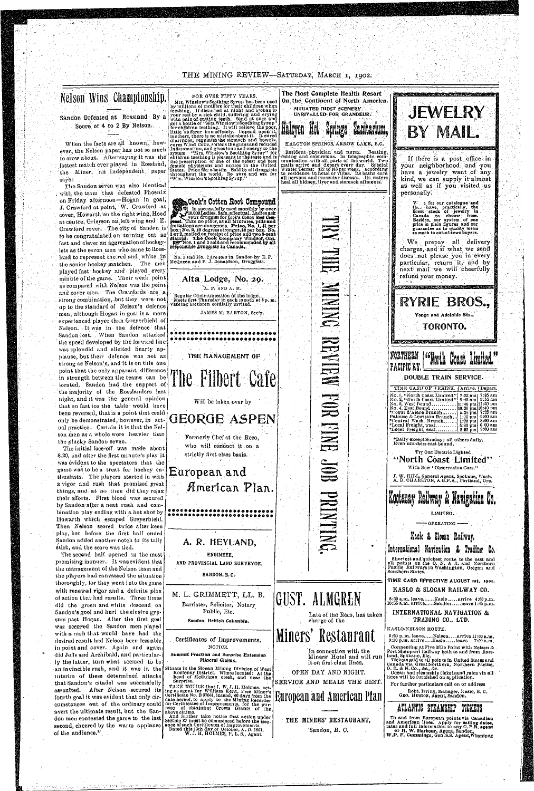THE MINING REVIEW-SATURDAY, MARCH I, 1902.

## Nelson Wins Championship.

Sandon Defeated at Rossland By a Score of 4 to 2 By Nelson.

When the facts are all known, however, the Nelson paper has not so much to crow about. After saying it was *the*  fastest match ever played in Rossland, the Miner, an independent paper says:

The Sandon seven was also identical . with the team that defeated Phoenix on Friday afternoon—Hogan in goal, J. Crawford at point, \V. Crawford at cover, Howarth on the right wing, Hood at centre, Griorson on left wing and E. Crawford rover. The city of Sandon is to be congratulated on turning out as fast and clever an aggregation of hockevists as the seven men who came to Rossland to represent the red and white in the senior hockey matches. The men played fast hockey and played every minute of the game. Their weak point as compared with Nelson was the point and cover men. The Crawfords are a strong combination, but they were not up to the standard of Nelson's defence men, although Hogan in goal is a more experienced player than Greyerbiehl of Nelson. It was in the defence that 8andon lost. . When Sandon attacked the speed developed by the forward line was splendid and elicited hearty applause, but their defence was not as strong as Nelson's, and it is on this one point that the only apparant, difference in strength between the teams can be located, Sandon had the support of tlie majority of the Rosslanders last night, and it was the gencial opinion that on fast ice the table would have been reversed, that is a point that could only be demonstrated, however, in actumy be demonditated, nowever, in which ual practice. Certain it is that the Nelson men as a whole were heavier than<br>the plucky Sandon seven.

The initial face-off was made about 8.20, and after the first minute's play it was evident to the spectators that the game was to be a treat for hockey enthusiasts. The players started in with a vigor and rush that promised great things, and. at no time did they relax their efforts. First blood was secured by Sandon after a neat rush and combination play ending with a hot shot by Howarth which escapad Greyerbiehl. Then Nelson scored twice after keen play, but before the first half ended Sandon added another notch to its tally suick, and the score was tied. The second half opened in the most promising manner. It was evident that the management of the Nelson team and the pl'ayers had canvassed the situation thoroughly, for they went into the game with renewed vigor and a definite plan' of action that had results. Three times did the green and white descend on Sandon's gool and hurl the elusive gypsum past Hogan. After the first goal was secured the Sandon men played with a rush that would have .had the desired result had Nelson been less able in point and cover. Again and again did Jed's and Archibald, and particularly the latter, turn what seemed to be an invincible rush, and it was in the interim of these determined attacks that Sandon's citadel was successfully assaulted. After Nelson secured its fourth goal it was evident that only circumstances out of the ordinary could avert the ultimate result, but the Sandon men contested the game to the last second, cheered by the warm applause of the audience."

(文化) 記者 网络三节

FOR OVER FIFTY YEARS.

Mrs. Winslow's Soothing Syrup has been used bv millions of mothers tor their children when teething. If disturbed at night and broken in<br>your rest by a sick child, suffering and crying<br>witn pain of cutting teeth. Send at once and<br>get a bottle of "Mrs.Winslow's Soothing Syrup" for children teething. It will relieve the poor,<br>little 'sullerer immediately. Eepend upon it,<br>mothers, there is no mistake about it. It cured<br>diarrhoes, regulates the stomach and bowels.<br>cures Wind Colic, softens the gums cures Wind Come, someone and gives to the<br>Infitunmation, and gives tone and energy to the svstem "Mrs. Winslow's Soothing Syrup" for children teething is pleasant to the taste and is the prescription of one of the oldest and best female physicians and nurses in the United States. Price 25c. a bottle. Sold by all druggists throughout the world. Be sure and ask for "Mrs. Winslow's Soothing Syrup."

Cook's Cotton Soot Compound FIG. 3) Is successfully used monthly by over  $\mathbb{S}^n$ ,  $\mathbb{V}_1$ ,000 Ladies. Safe, effectual. Ladies ask  $\mathbb{S}^n$  Cook's Cotton Root Cem-<br>ponnd. Take no other, as all Mixtures, pills and imitations are dangerous. Pric box; No. 2, 10 degrees stronger, 33 per box. No.<br>1 or 2, mailed on receipt of price and two 3-cent<br>stamps. The Cook Company Windsor, Ont.<br>22 Nos. 1 and 2 sold and recommended by all<br>responsible Druggists in Canada.

Alta Lodge, No. 29. A. *V.* AND A. M. '.Regular Communication of the lodge. Meets first Thursday in each month at 8 p. m. Visiting brethren cordially invited. JAMES M. BARTON, Sec'y. **eeeeeeooo98eoooe«es\*ooeeoo**  THE MANAGEMENT OF The Filbert Cafe Will be taken over bv **GEORGE ASPEN** Formerly Chef at the Eeco, who will conduct it on a strictly first class basis. European and

*f*Imerican Plan.

5:20 p.m. leave.....Nelson....arrive 11:00 a.m. 9:10 p.m. arrive....Kaslo leave 7:00a.m.

No. 1 and No. 2 are sold in Sandon by E. P. McQueen aud F. J. Donaldson, Druggists.







LIMITED. • OPERATING • **Kaslo & Slocan Eailway,**  International Navigation & Trading Co. Shortest and quickest route to the east and all points on the O. N. *& R.* and Northern Pacific Hallways in Washington, Oregon and Southern States. ' TIME CARD EFFECTIVE AUGUST ist, ipoi.

KASLO & SLOCAN RAILWAY CO.

8:30 a.m. leave...... Kaslo .... arrive 4:00 p.m. 10:55 a.m. arrive.....Sandon .....Ieavo 1:45 p.m.

INTERNATIONAL NAVIGATION & TRADING CO., LTD.

KASLO-NELSON KOUTE.

Connecting at Five Mile Point with Nelson *&*  Fort Shenpartl Kailway both to and from Koss-land, Spokane, Etc.

Tickets sold to all points in United States and<br>Canada via Great Northern, Northern Pacific,<br>O. P.. & N. Co., &c., &c.<br>Ocean and steamship tickets and rates via all<br>lines will be furnished on a<sub>j</sub> plication.

For further particulars call on or address

Robt. Irving, Manager. Kaslo, B. C. GEO. HUSTON, Agent, Sandon.

## ATLANTIC STEAMSHIP TICALIA

To and from European points via Canadian<br>and American lines. Apply for sailing dates,<br>rates and full information to any C, P.R. agent<br>or H. W. Harbour, Agent, Sandon,<br>W.P. F. Cammings, Gen.S.S. Agent,Winnipeg